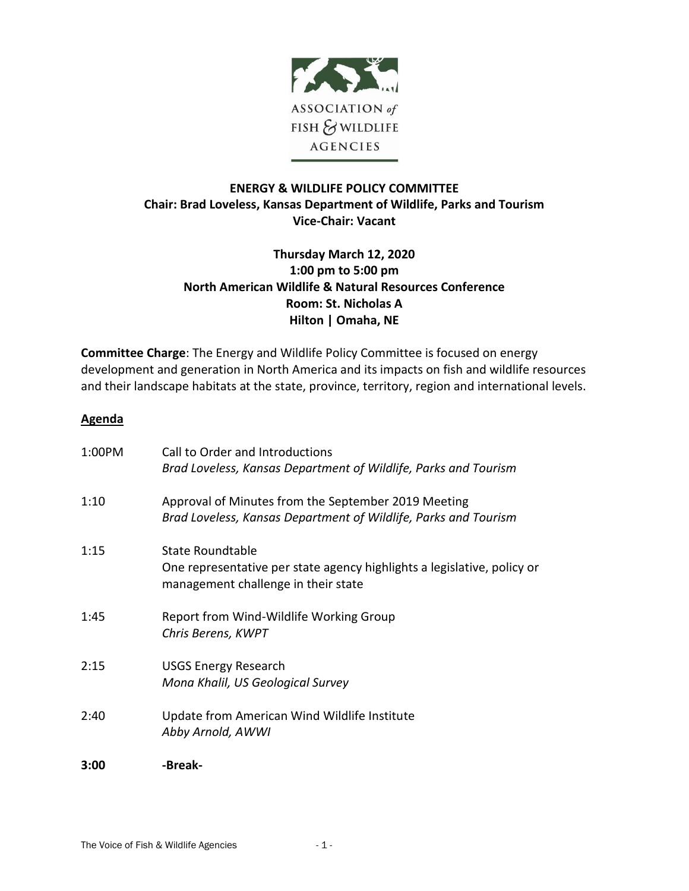

## **ENERGY & WILDLIFE POLICY COMMITTEE Chair: Brad Loveless, Kansas Department of Wildlife, Parks and Tourism Vice-Chair: Vacant**

# **Thursday March 12, 2020 1:00 pm to 5:00 pm North American Wildlife & Natural Resources Conference Room: St. Nicholas A Hilton | Omaha, NE**

**Committee Charge**: The Energy and Wildlife Policy Committee is focused on energy development and generation in North America and its impacts on fish and wildlife resources and their landscape habitats at the state, province, territory, region and international levels.

### **Agenda**

| 1:00PM | Call to Order and Introductions                                         |
|--------|-------------------------------------------------------------------------|
|        | Brad Loveless, Kansas Department of Wildlife, Parks and Tourism         |
| 1:10   | Approval of Minutes from the September 2019 Meeting                     |
|        | Brad Loveless, Kansas Department of Wildlife, Parks and Tourism         |
| 1:15   | State Roundtable                                                        |
|        | One representative per state agency highlights a legislative, policy or |
|        | management challenge in their state                                     |
| 1:45   | Report from Wind-Wildlife Working Group                                 |
|        | Chris Berens, KWPT                                                      |
| 2:15   | <b>USGS Energy Research</b>                                             |
|        | Mona Khalil, US Geological Survey                                       |
| 2:40   | Update from American Wind Wildlife Institute                            |
|        | Abby Arnold, AWWI                                                       |
| 3:00   | -Break-                                                                 |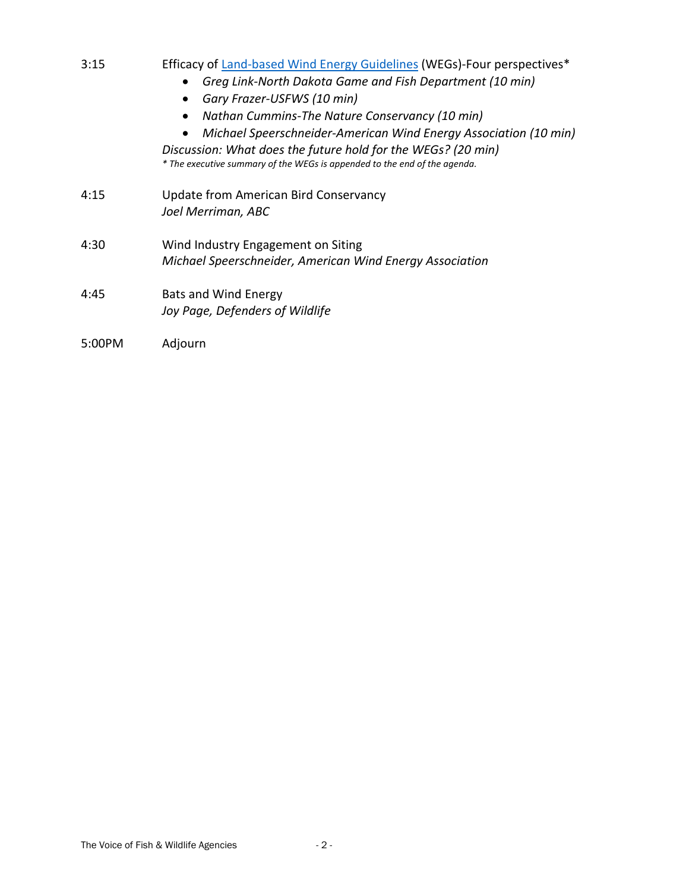| 3:15   | Efficacy of Land-based Wind Energy Guidelines (WEGs)-Four perspectives*   |
|--------|---------------------------------------------------------------------------|
|        | Greg Link-North Dakota Game and Fish Department (10 min)                  |
|        | Gary Frazer-USFWS (10 min)<br>$\bullet$                                   |
|        | Nathan Cummins-The Nature Conservancy (10 min)<br>$\bullet$               |
|        | Michael Speerschneider-American Wind Energy Association (10 min)          |
|        | Discussion: What does the future hold for the WEGs? (20 min)              |
|        | * The executive summary of the WEGs is appended to the end of the agenda. |
| 4:15   | Update from American Bird Conservancy                                     |
|        | Joel Merriman, ABC                                                        |
| 4:30   | Wind Industry Engagement on Siting                                        |
|        | Michael Speerschneider, American Wind Energy Association                  |
| 4:45   | Bats and Wind Energy                                                      |
|        | Joy Page, Defenders of Wildlife                                           |
|        |                                                                           |
| 5:00PM | Adjourn                                                                   |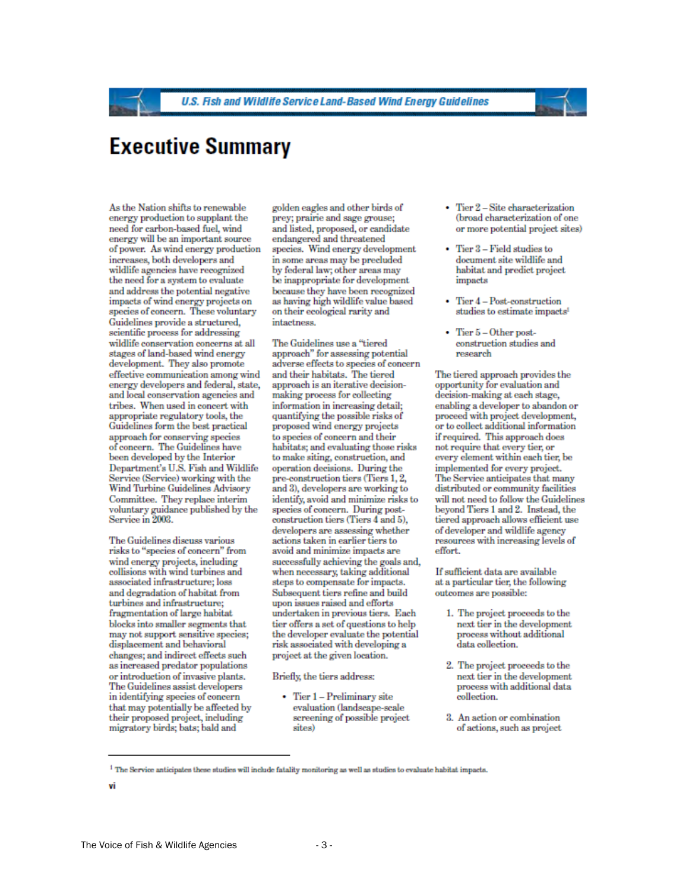

# **Executive Summary**

As the Nation shifts to renewable energy production to supplant the need for carbon-based fuel, wind energy will be an important source of power. As wind energy production increases, both developers and wildlife agencies have recognized the need for a system to evaluate and address the potential negative impacts of wind energy projects on species of concern. These voluntary Guidelines provide a structured. scientific process for addressing wildlife conservation concerns at all stages of land-based wind energy development. They also promote effective communication among wind energy developers and federal, state, and local conservation agencies and tribes. When used in concert with appropriate regulatory tools, the Guidelines form the best practical approach for conserving species of concern. The Guidelines have been developed by the Interior Department's U.S. Fish and Wildlife Service (Service) working with the Wind Turbine Guidelines Advisory Committee. They replace interim voluntary guidance published by the Service in 2003.

The Guidelines discuss various risks to "species of concern" from wind energy projects, including collisions with wind turbines and associated infrastructure; loss and degradation of habitat from turbines and infrastructure; fragmentation of large habitat blocks into smaller segments that may not support sensitive species; displacement and behavioral changes; and indirect effects such as increased predator populations or introduction of invasive plants. The Guidelines assist developers in identifying species of concern that may potentially be affected by their proposed project, including migratory birds; bats; bald and

golden eagles and other birds of prey; prairie and sage grouse; and listed, proposed, or candidate endangered and threatened species. Wind energy development in some areas may be precluded by federal law; other areas may be inappropriate for development because they have been recognized as having high wildlife value based on their ecological rarity and intactness

The Guidelines use a "tiered approach" for assessing potential adverse effects to species of concern and their habitats. The tiered approach is an iterative decisionmaking process for collecting information in increasing detail; quantifying the possible risks of proposed wind energy projects to species of concern and their habitats; and evaluating those risks to make siting, construction, and operation decisions. During the pre-construction tiers (Tiers 1, 2, and 3), developers are working to identify, avoid and minimize risks to species of concern. During postconstruction tiers (Tiers 4 and 5), developers are assessing whether actions taken in earlier tiers to avoid and minimize impacts are successfully achieving the goals and, when necessary, taking additional steps to compensate for impacts. Subsequent tiers refine and build upon issues raised and efforts undertaken in previous tiers. Each tier offers a set of questions to help the developer evaluate the potential risk associated with developing a project at the given location.

Briefly, the tiers address:

• Tier 1 - Preliminary site evaluation (landscape-scale screening of possible project sites)

- Tier 2 Site characterization (broad characterization of one or more potential project sites)
- Tier 3 Field studies to document site wildlife and habitat and predict project impacts
- Tier 4 Post-construction studies to estimate impacts<sup>1</sup>
- Tier 5 Other postconstruction studies and research

The tiered approach provides the opportunity for evaluation and decision-making at each stage, enabling a developer to abandon or proceed with project development, or to collect additional information if required. This approach does not require that every tier, or every element within each tier, be implemented for every project. The Service anticipates that many distributed or community facilities will not need to follow the Guidelines beyond Tiers 1 and 2. Instead, the tiered approach allows efficient use of developer and wildlife agency resources with increasing levels of effort.

If sufficient data are available at a particular tier, the following outcomes are possible:

- 1. The project proceeds to the next tier in the development process without additional data collection.
- 2. The project proceeds to the next tier in the development process with additional data collection.
- 3. An action or combination of actions, such as project

<sup>&</sup>lt;sup>1</sup> The Service anticipates these studies will include fatality monitoring as well as studies to evaluate habitat impacts.